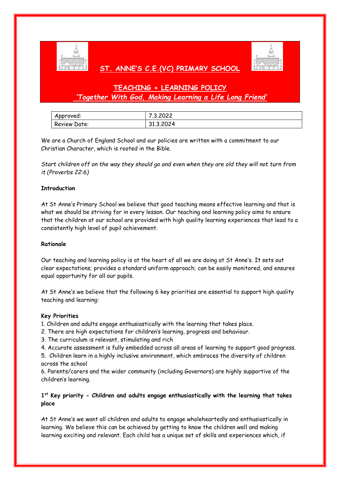

## **ST. ANNE'S C.E.(VC) PRIMARY SCHOOL**



# **TEACHING + LEARNING POLICY** *'Together With God, Making Learning a Life Long Friend'*

| Approved:    | .3.2022   |
|--------------|-----------|
| Review Date: | 31.3.2024 |

We are a Church of England School and our policies are written with a commitment to our Christian Character, which is rooted in the Bible.

*Start children off on the way they should go and even when they are old they will not turn from it (Proverbs 22:6)*

### **Introduction**

At St Anne's Primary School we believe that good teaching means effective learning and that is what we should be striving for in every lesson. Our teaching and learning policy aims to ensure that the children at our school are provided with high quality learning experiences that lead to a consistently high level of pupil achievement.

#### **Rationale**

Our teaching and learning policy is at the heart of all we are doing at St Anne's. It sets out clear expectations; provides a standard uniform approach; can be easily monitored, and ensures equal opportunity for all our pupils.

At St Anne's we believe that the following 6 key priorities are essential to support high quality teaching and learning:

#### **Key Priorities**

1. Children and adults engage enthusiastically with the learning that takes place.

- 2. There are high expectations for children's learning, progress and behaviour.
- 3. The curriculum is relevant, stimulating and rich
- 4. Accurate assessment is fully embedded across all areas of learning to support good progress.

5. Children learn in a highly inclusive environment, which embraces the diversity of children across the school

6. Parents/carers and the wider community (including Governors) are highly supportive of the children's learning.

### **1 st Key priority - Children and adults engage enthusiastically with the learning that takes place**

At St Anne's we want all children and adults to engage wholeheartedly and enthusiastically in learning. We believe this can be achieved by getting to know the children well and making learning exciting and relevant. Each child has a unique set of skills and experiences which, if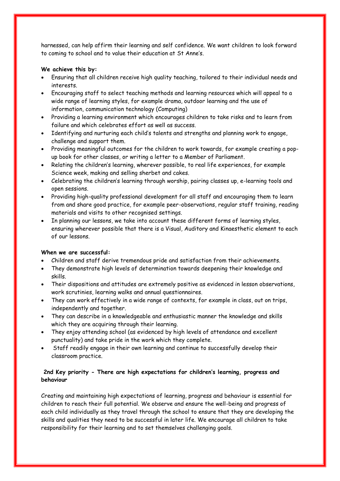harnessed, can help affirm their learning and self confidence. We want children to look forward to coming to school and to value their education at St Anne's.

### **We achieve this by:**

- Ensuring that all children receive high quality teaching, tailored to their individual needs and interests.
- Encouraging staff to select teaching methods and learning resources which will appeal to a wide range of learning styles, for example drama, outdoor learning and the use of information, communication technology (Computing)
- Providing a learning environment which encourages children to take risks and to learn from failure and which celebrates effort as well as success.
- Identifying and nurturing each child's talents and strengths and planning work to engage, challenge and support them.
- Providing meaningful outcomes for the children to work towards, for example creating a popup book for other classes, or writing a letter to a Member of Parliament.
- Relating the children's learning, wherever possible, to real life experiences, for example Science week, making and selling sherbet and cakes.
- Celebrating the children's learning through worship, pairing classes up, e-learning tools and open sessions.
- Providing high-quality professional development for all staff and encouraging them to learn from and share good practice, for example peer-observations, regular staff training, reading materials and visits to other recognised settings.
- In planning our lessons, we take into account these different forms of learning styles, ensuring wherever possible that there is a Visual, Auditory and Kinaesthetic element to each of our lessons.

#### **When we are successful:**

- Children and staff derive tremendous pride and satisfaction from their achievements.
- They demonstrate high levels of determination towards deepening their knowledge and skills.
- Their dispositions and attitudes are extremely positive as evidenced in lesson observations, work scrutinies, learning walks and annual questionnaires.
- They can work effectively in a wide range of contexts, for example in class, out on trips, independently and together.
- They can describe in a knowledgeable and enthusiastic manner the knowledge and skills which they are acquiring through their learning.
- They enjoy attending school (as evidenced by high levels of attendance and excellent punctuality) and take pride in the work which they complete.
- Staff readily engage in their own learning and continue to successfully develop their classroom practice.

### **2nd Key priority - There are high expectations for children's learning, progress and behaviour**

Creating and maintaining high expectations of learning, progress and behaviour is essential for children to reach their full potential. We observe and ensure the well-being and progress of each child individually as they travel through the school to ensure that they are developing the skills and qualities they need to be successful in later life. We encourage all children to take responsibility for their learning and to set themselves challenging goals.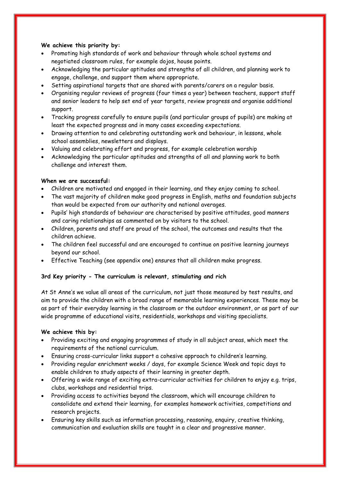### **We achieve this priority by:**

- Promoting high standards of work and behaviour through whole school systems and negotiated classroom rules, for example dojos, house points.
- Acknowledging the particular aptitudes and strengths of all children, and planning work to engage, challenge, and support them where appropriate.
- Setting aspirational targets that are shared with parents/carers on a regular basis.
- Organising regular reviews of progress (four times a year) between teachers, support staff and senior leaders to help set end of year targets, review progress and organise additional support.
- Tracking progress carefully to ensure pupils (and particular groups of pupils) are making at least the expected progress and in many cases exceeding expectations.
- Drawing attention to and celebrating outstanding work and behaviour, in lessons, whole school assemblies, newsletters and displays.
- Valuing and celebrating effort and progress, for example celebration worship
- Acknowledging the particular aptitudes and strengths of all and planning work to both challenge and interest them.

### **When we are successful:**

- Children are motivated and engaged in their learning, and they enjoy coming to school.
- The vast majority of children make good progress in English, maths and foundation subjects than would be expected from our authority and national averages.
- Pupils' high standards of behaviour are characterised by positive attitudes, good manners and caring relationships as commented on by visitors to the school.
- Children, parents and staff are proud of the school, the outcomes and results that the children achieve.
- The children feel successful and are encouraged to continue on positive learning journeys beyond our school.
- Effective Teaching (see appendix one) ensures that all children make progress.

#### **3rd Key priority - The curriculum is relevant, stimulating and rich**

At St Anne's we value all areas of the curriculum, not just those measured by test results, and aim to provide the children with a broad range of memorable learning experiences. These may be as part of their everyday learning in the classroom or the outdoor environment, or as part of our wide programme of educational visits, residentials, workshops and visiting specialists.

#### **We achieve this by:**

- Providing exciting and engaging programmes of study in all subject areas, which meet the requirements of the national curriculum.
- Ensuring cross-curricular links support a cohesive approach to children's learning.
- Providing regular enrichment weeks / days, for example Science Week and topic days to enable children to study aspects of their learning in greater depth.
- Offering a wide range of exciting extra-curricular activities for children to enjoy e.g. trips, clubs, workshops and residential trips.
- Providing access to activities beyond the classroom, which will encourage children to consolidate and extend their learning, for examples homework activities, competitions and research projects.
- Ensuring key skills such as information processing, reasoning, enquiry, creative thinking, communication and evaluation skills are taught in a clear and progressive manner.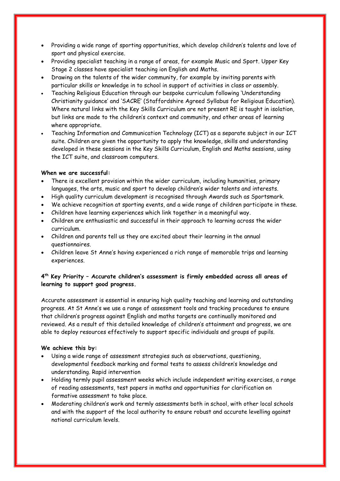- Providing a wide range of sporting opportunities, which develop children's talents and love of sport and physical exercise.
- Providing specialist teaching in a range of areas, for example Music and Sport. Upper Key Stage 2 classes have specialist teaching ion English and Maths.
- Drawing on the talents of the wider community, for example by inviting parents with particular skills or knowledge in to school in support of activities in class or assembly.
- Teaching Religious Education through our bespoke curriculum following 'Understanding Christianity guidance' and 'SACRE' (Staffordshire Agreed Syllabus for Religious Education). Where natural links with the Key Skills Curriculum are not present RE is taught in isolation, but links are made to the children's context and community, and other areas of learning where appropriate.
- Teaching Information and Communication Technology (ICT) as a separate subject in our ICT suite. Children are given the opportunity to apply the knowledge, skills and understanding developed in these sessions in the Key Skills Curriculum, English and Maths sessions, using the ICT suite, and classroom computers.

#### **When we are successful:**

- There is excellent provision within the wider curriculum, including humanities, primary languages, the arts, music and sport to develop children's wider talents and interests.
- High quality curriculum development is recognised through Awards such as Sportsmark.
- We achieve recognition at sporting events, and a wide range of children participate in these.
- Children have learning experiences which link together in a meaningful way.
- Children are enthusiastic and successful in their approach to learning across the wider curriculum.
- Children and parents tell us they are excited about their learning in the annual questionnaires.
- Children leave St Anne's having experienced a rich range of memorable trips and learning experiences.

### **4 th Key Priority – Accurate children's assessment is firmly embedded across all areas of learning to support good progress.**

Accurate assessment is essential in ensuring high quality teaching and learning and outstanding progress. At St Anne's we use a range of assessment tools and tracking procedures to ensure that children's progress against English and maths targets are continually monitored and reviewed. As a result of this detailed knowledge of children's attainment and progress, we are able to deploy resources effectively to support specific individuals and groups of pupils.

#### **We achieve this by:**

- Using a wide range of assessment strategies such as observations, questioning, developmental feedback marking and formal tests to assess children's knowledge and understanding. Rapid intervention
- Holding termly pupil assessment weeks which include independent writing exercises, a range of reading assessments, test papers in maths and opportunities for clarification on formative assessment to take place.
- Moderating children's work and termly assessments both in school, with other local schools and with the support of the local authority to ensure robust and accurate levelling against national curriculum levels.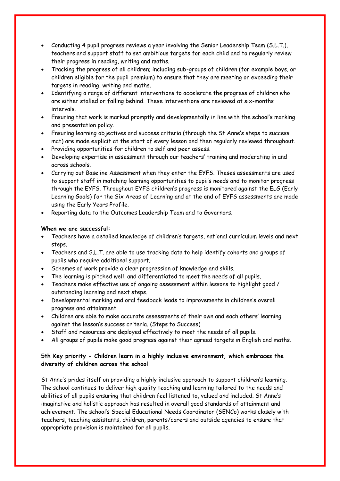- Conducting 4 pupil progress reviews a year involving the Senior Leadership Team (S.L.T.), teachers and support staff to set ambitious targets for each child and to regularly review their progress in reading, writing and maths.
- Tracking the progress of all children; including sub-groups of children (for example boys, or children eligible for the pupil premium) to ensure that they are meeting or exceeding their targets in reading, writing and maths.
- Identifying a range of different interventions to accelerate the progress of children who are either stalled or falling behind. These interventions are reviewed at six-months intervals.
- Ensuring that work is marked promptly and developmentally in line with the school's marking and presentation policy.
- Ensuring learning objectives and success criteria (through the St Anne's steps to success mat) are made explicit at the start of every lesson and then regularly reviewed throughout.
- Providing opportunities for children to self and peer assess.
- Developing expertise in assessment through our teachers' training and moderating in and across schools.
- Carrying out Baseline Assessment when they enter the EYFS. Theses assessments are used to support staff in matching learning opportunities to pupil's needs and to monitor progress through the EYFS. Throughout EYFS children's progress is monitored against the ELG (Early Learning Goals) for the Six Areas of Learning and at the end of EYFS assessments are made using the Early Years Profile.
- Reporting data to the Outcomes Leadership Team and to Governors.

### **When we are successful:**

- Teachers have a detailed knowledge of children's targets, national curriculum levels and next steps.
- Teachers and S.L.T. are able to use tracking data to help identify cohorts and groups of pupils who require additional support.
- Schemes of work provide a clear progression of knowledge and skills.
- The learning is pitched well, and differentiated to meet the needs of all pupils.
- Teachers make effective use of ongoing assessment within lessons to highlight good / outstanding learning and next steps.
- Developmental marking and oral feedback leads to improvements in children's overall progress and attainment.
- Children are able to make accurate assessments of their own and each others' learning against the lesson's success criteria. (Steps to Success)
- Staff and resources are deployed effectively to meet the needs of all pupils.
- All groups of pupils make good progress against their agreed targets in English and maths.

### **5th Key priority - Children learn in a highly inclusive environment, which embraces the diversity of children across the school**

St Anne's prides itself on providing a highly inclusive approach to support children's learning. The school continues to deliver high quality teaching and learning tailored to the needs and abilities of all pupils ensuring that children feel listened to, valued and included. St Anne's imaginative and holistic approach has resulted in overall good standards of attainment and achievement. The school's Special Educational Needs Coordinator (SENCo) works closely with teachers, teaching assistants, children, parents/carers and outside agencies to ensure that appropriate provision is maintained for all pupils.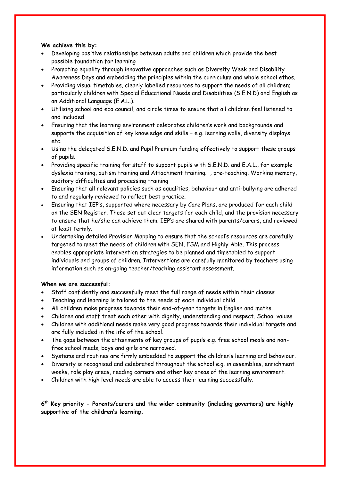### **We achieve this by:**

- Developing positive relationships between adults and children which provide the best possible foundation for learning
- Promoting equality through innovative approaches such as Diversity Week and Disability Awareness Days and embedding the principles within the curriculum and whole school ethos.
- Providing visual timetables, clearly labelled resources to support the needs of all children; particularly children with Special Educational Needs and Disabilities (S.E.N.D) and English as an Additional Language (E.A.L.).
- Utilising school and eco council, and circle times to ensure that all children feel listened to and included.
- Ensuring that the learning environment celebrates children's work and backgrounds and supports the acquisition of key knowledge and skills – e.g. learning walls, diversity displays etc.
- Using the delegated S.E.N.D. and Pupil Premium funding effectively to support these groups of pupils.
- Providing specific training for staff to support pupils with S.E.N.D. and E.A.L., for example dyslexia training, autism training and Attachment training. , pre-teaching, Working memory, auditory difficulties and processing training
- Ensuring that all relevant policies such as equalities, behaviour and anti-bullying are adhered to and regularly reviewed to reflect best practice.
- Ensuring that IEP's, supported where necessary by Care Plans, are produced for each child on the SEN Register. These set out clear targets for each child, and the provision necessary to ensure that he/she can achieve them. IEP's are shared with parents/carers, and reviewed at least termly.
- Undertaking detailed Provision Mapping to ensure that the school's resources are carefully targeted to meet the needs of children with SEN, FSM and Highly Able. This process enables appropriate intervention strategies to be planned and timetabled to support individuals and groups of children. Interventions are carefully monitored by teachers using information such as on-going teacher/teaching assistant assessment.

### **When we are successful:**

- Staff confidently and successfully meet the full range of needs within their classes
- Teaching and learning is tailored to the needs of each individual child.
- All children make progress towards their end-of-year targets in English and maths.
- Children and staff treat each other with dignity, understanding and respect. School values
- Children with additional needs make very good progress towards their individual targets and are fully included in the life of the school.
- The gaps between the attainments of key groups of pupils e.g. free school meals and nonfree school meals, boys and girls are narrowed.
- Systems and routines are firmly embedded to support the children's learning and behaviour.
- Diversity is recognised and celebrated throughout the school e.g. in assemblies, enrichment weeks, role play areas, reading corners and other key areas of the learning environment.
- Children with high level needs are able to access their learning successfully.

**6 th Key priority - Parents/carers and the wider community (including governors) are highly supportive of the children's learning.**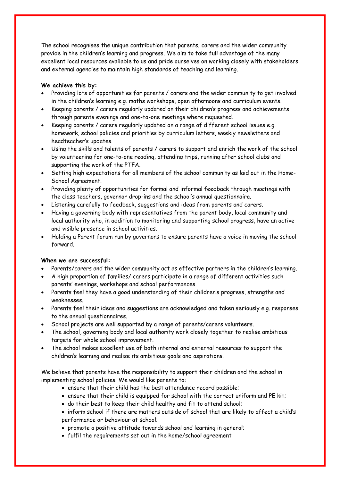The school recognises the unique contribution that parents, carers and the wider community provide in the children's learning and progress. We aim to take full advantage of the many excellent local resources available to us and pride ourselves on working closely with stakeholders and external agencies to maintain high standards of teaching and learning.

### **We achieve this by:**

- Providing lots of opportunities for parents / carers and the wider community to get involved in the children's learning e.g. maths workshops, open afternoons and curriculum events.
- Keeping parents / carers regularly updated on their children's progress and achievements through parents evenings and one-to-one meetings where requested.
- Keeping parents / carers regularly updated on a range of different school issues e.g. homework, school policies and priorities by curriculum letters, weekly newsletters and headteacher's updates.
- Using the skills and talents of parents / carers to support and enrich the work of the school by volunteering for one-to-one reading, attending trips, running after school clubs and supporting the work of the PTFA.
- Setting high expectations for all members of the school community as laid out in the Home-School Agreement.
- Providing plenty of opportunities for formal and informal feedback through meetings with the class teachers, governor drop-ins and the school's annual questionnaire.
- Listening carefully to feedback, suggestions and ideas from parents and carers.
- Having a governing body with representatives from the parent body, local community and local authority who, in addition to monitoring and supporting school progress, have an active and visible presence in school activities.
- Holding a Parent forum run by governors to ensure parents have a voice in moving the school forward.

### **When we are successful:**

- Parents/carers and the wider community act as effective partners in the children's learning.
- A high proportion of families/ carers participate in a range of different activities such parents' evenings, workshops and school performances.
- Parents feel they have a good understanding of their children's progress, strengths and weaknesses.
- Parents feel their ideas and suggestions are acknowledged and taken seriously e.g. responses to the annual questionnaires.
- School projects are well supported by a range of parents/carers volunteers.
- The school, governing body and local authority work closely together to realise ambitious targets for whole school improvement.
- The school makes excellent use of both internal and external resources to support the children's learning and realise its ambitious goals and aspirations.

We believe that parents have the responsibility to support their children and the school in implementing school policies. We would like parents to:

- ensure that their child has the best attendance record possible;
- ensure that their child is equipped for school with the correct uniform and PE kit;
- do their best to keep their child healthy and fit to attend school;
- inform school if there are matters outside of school that are likely to affect a child's performance or behaviour at school;
- promote a positive attitude towards school and learning in general;
- fulfil the requirements set out in the home/school agreement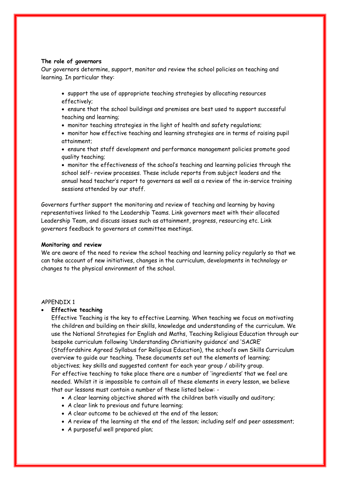#### **The role of governors**

Our governors determine, support, monitor and review the school policies on teaching and learning. In particular they:

 support the use of appropriate teaching strategies by allocating resources effectively;

 ensure that the school buildings and premises are best used to support successful teaching and learning;

monitor teaching strategies in the light of health and safety regulations;

 monitor how effective teaching and learning strategies are in terms of raising pupil attainment;

 ensure that staff development and performance management policies promote good quality teaching;

 monitor the effectiveness of the school's teaching and learning policies through the school self- review processes. These include reports from subject leaders and the annual head teacher's report to governors as well as a review of the in-service training sessions attended by our staff.

Governors further support the monitoring and review of teaching and learning by having representatives linked to the Leadership Teams. Link governors meet with their allocated Leadership Team, and discuss issues such as attainment, progress, resourcing etc. Link governors feedback to governors at committee meetings.

#### **Monitoring and review**

We are aware of the need to review the school teaching and learning policy regularly so that we can take account of new initiatives, changes in the curriculum, developments in technology or changes to the physical environment of the school.

#### APPENDIX 1

#### **Effective teaching**

Effective Teaching is the key to effective Learning. When teaching we focus on motivating the children and building on their skills, knowledge and understanding of the curriculum. We use the National Strategies for English and Maths, Teaching Religious Education through our bespoke curriculum following 'Understanding Christianity guidance' and 'SACRE' (Staffordshire Agreed Syllabus for Religious Education), the school's own Skills Curriculum overview to guide our teaching. These documents set out the elements of learning; objectives; key skills and suggested content for each year group / ability group. For effective teaching to take place there are a number of 'ingredients' that we feel are needed. Whilst it is impossible to contain all of these elements in every lesson, we believe that our lessons must contain a number of these listed below: -

- A clear learning objective shared with the children both visually and auditory;
- A clear link to previous and future learning;
- A clear outcome to be achieved at the end of the lesson;
- A review of the learning at the end of the lesson; including self and peer assessment;
- A purposeful well prepared plan;